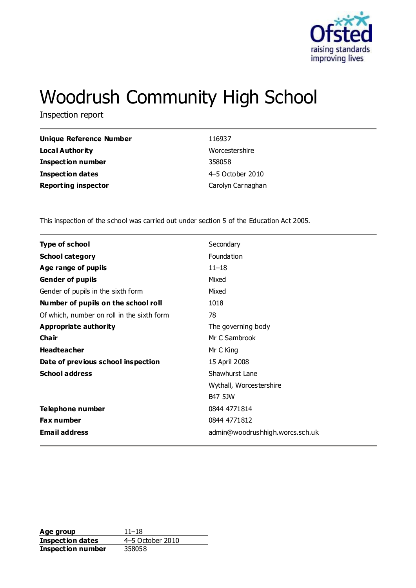

# Woodrush Community High School

Inspection report

| Unique Reference Number    | 116937            |
|----------------------------|-------------------|
| <b>Local Authority</b>     | Worcestershire    |
| <b>Inspection number</b>   | 358058            |
| <b>Inspection dates</b>    | 4-5 October 2010  |
| <b>Reporting inspector</b> | Carolyn Carnaghan |

This inspection of the school was carried out under section 5 of the Education Act 2005.

| <b>Type of school</b>                      | Secondary                       |
|--------------------------------------------|---------------------------------|
| <b>School category</b>                     | Foundation                      |
| Age range of pupils                        | $11 - 18$                       |
| <b>Gender of pupils</b>                    | Mixed                           |
| Gender of pupils in the sixth form         | Mixed                           |
| Number of pupils on the school roll        | 1018                            |
| Of which, number on roll in the sixth form | 78                              |
| Appropriate authority                      | The governing body              |
| Cha ir                                     | Mr C Sambrook                   |
| <b>Headteacher</b>                         | Mr C King                       |
| Date of previous school inspection         | 15 April 2008                   |
| <b>School address</b>                      | Shawhurst Lane                  |
|                                            | Wythall, Worcestershire         |
|                                            | <b>B47 5JW</b>                  |
| Telephone number                           | 0844 4771814                    |
| Fax number                                 | 0844 4771812                    |
| <b>Email address</b>                       | admin@woodrushhigh.worcs.sch.uk |

**Age group** 11–18<br> **Inspection dates** 4–5 October 2010 **Inspection dates Inspection number** 358058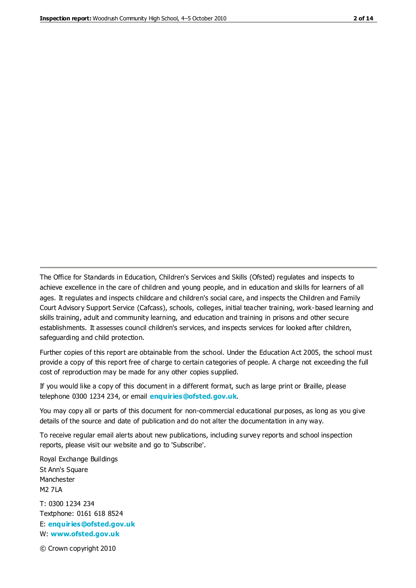The Office for Standards in Education, Children's Services and Skills (Ofsted) regulates and inspects to achieve excellence in the care of children and young people, and in education and skills for learners of all ages. It regulates and inspects childcare and children's social care, and inspects the Children and Family Court Advisory Support Service (Cafcass), schools, colleges, initial teacher training, work-based learning and skills training, adult and community learning, and education and training in prisons and other secure establishments. It assesses council children's services, and inspects services for looked after children, safeguarding and child protection.

Further copies of this report are obtainable from the school. Under the Education Act 2005, the school must provide a copy of this report free of charge to certain categories of people. A charge not exceeding the full cost of reproduction may be made for any other copies supplied.

If you would like a copy of this document in a different format, such as large print or Braille, please telephone 0300 1234 234, or email **[enquiries@ofsted.gov.uk](mailto:enquiries@ofsted.gov.uk)**.

You may copy all or parts of this document for non-commercial educational purposes, as long as you give details of the source and date of publication and do not alter the documentation in any way.

To receive regular email alerts about new publications, including survey reports and school inspection reports, please visit our website and go to 'Subscribe'.

Royal Exchange Buildings St Ann's Square Manchester M2 7LA T: 0300 1234 234 Textphone: 0161 618 8524 E: **[enquiries@ofsted.gov.uk](mailto:enquiries@ofsted.gov.uk)** W: **[www.ofsted.gov.uk](http://www.ofsted.gov.uk/)**

© Crown copyright 2010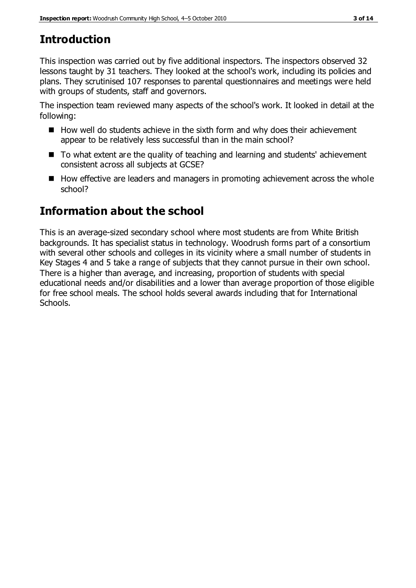# **Introduction**

This inspection was carried out by five additional inspectors. The inspectors observed 32 lessons taught by 31 teachers. They looked at the school's work, including its policies and plans. They scrutinised 107 responses to parental questionnaires and meetings were held with groups of students, staff and governors.

The inspection team reviewed many aspects of the school's work. It looked in detail at the following:

- $\blacksquare$  How well do students achieve in the sixth form and why does their achievement appear to be relatively less successful than in the main school?
- To what extent are the quality of teaching and learning and students' achievement consistent across all subjects at GCSE?
- $\blacksquare$  How effective are leaders and managers in promoting achievement across the whole school?

# **Information about the school**

This is an average-sized secondary school where most students are from White British backgrounds. It has specialist status in technology. Woodrush forms part of a consortium with several other schools and colleges in its vicinity where a small number of students in Key Stages 4 and 5 take a range of subjects that they cannot pursue in their own school. There is a higher than average, and increasing, proportion of students with special educational needs and/or disabilities and a lower than average proportion of those eligible for free school meals. The school holds several awards including that for International Schools.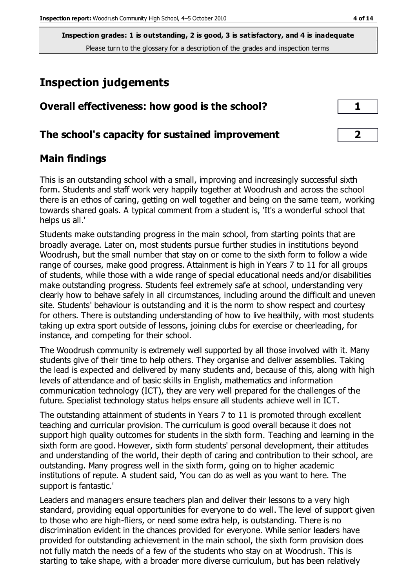# **Inspection judgements**

| Overall effectiveness: how good is the school?  | $\mathbf{1}$            |
|-------------------------------------------------|-------------------------|
| The school's capacity for sustained improvement | $\overline{\mathbf{2}}$ |

## **Main findings**

This is an outstanding school with a small, improving and increasingly successful sixth form. Students and staff work very happily together at Woodrush and across the school there is an ethos of caring, getting on well together and being on the same team, working towards shared goals. A typical comment from a student is, 'It's a wonderful school that helps us all.'

Students make outstanding progress in the main school, from starting points that are broadly average. Later on, most students pursue further studies in institutions beyond Woodrush, but the small number that stay on or come to the sixth form to follow a wide range of courses, make good progress. Attainment is high in Years 7 to 11 for all groups of students, while those with a wide range of special educational needs and/or disabilities make outstanding progress. Students feel extremely safe at school, understanding very clearly how to behave safely in all circumstances, including around the difficult and uneven site. Students' behaviour is outstanding and it is the norm to show respect and courtesy for others. There is outstanding understanding of how to live healthily, with most students taking up extra sport outside of lessons, joining clubs for exercise or cheerleading, for instance, and competing for their school.

The Woodrush community is extremely well supported by all those involved with it. Many students give of their time to help others. They organise and deliver assemblies. Taking the lead is expected and delivered by many students and, because of this, along with high levels of attendance and of basic skills in English, mathematics and information communication technology (ICT), they are very well prepared for the challenges of the future. Specialist technology status helps ensure all students achieve well in ICT.

The outstanding attainment of students in Years 7 to 11 is promoted through excellent teaching and curricular provision. The curriculum is good overall because it does not support high quality outcomes for students in the sixth form. Teaching and learning in the sixth form are good. However, sixth form students' personal development, their attitudes and understanding of the world, their depth of caring and contribution to their school, are outstanding. Many progress well in the sixth form, going on to higher academic institutions of repute. A student said, 'You can do as well as you want to here. The support is fantastic.'

Leaders and managers ensure teachers plan and deliver their lessons to a very high standard, providing equal opportunities for everyone to do well. The level of support given to those who are high-fliers, or need some extra help, is outstanding. There is no discrimination evident in the chances provided for everyone. While senior leaders have provided for outstanding achievement in the main school, the sixth form provision does not fully match the needs of a few of the students who stay on at Woodrush. This is starting to take shape, with a broader more diverse curriculum, but has been relatively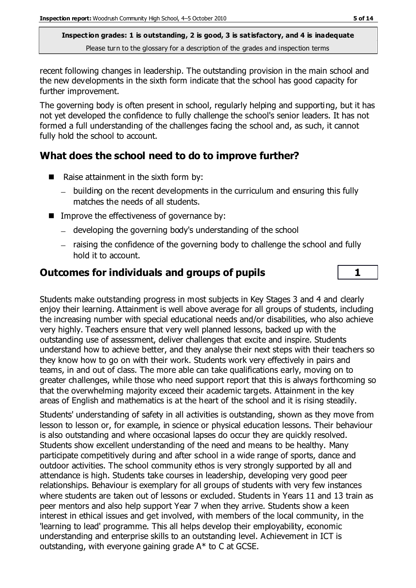recent following changes in leadership. The outstanding provision in the main school and the new developments in the sixth form indicate that the school has good capacity for further improvement.

The governing body is often present in school, regularly helping and supporting, but it has not yet developed the confidence to fully challenge the school's senior leaders. It has not formed a full understanding of the challenges facing the school and, as such, it cannot fully hold the school to account.

# **What does the school need to do to improve further?**

- Raise attainment in the sixth form by:
	- building on the recent developments in the curriculum and ensuring this fully matches the needs of all students.
- **IMPROVE THE EFFECTIVENESS OF GOVERTHERE BY:** 
	- developing the governing body's understanding of the school
	- raising the confidence of the governing body to challenge the school and fully hold it to account.

# **Outcomes for individuals and groups of pupils 1**

Students make outstanding progress in most subjects in Key Stages 3 and 4 and clearly enjoy their learning. Attainment is well above average for all groups of students, including the increasing number with special educational needs and/or disabilities, who also achieve very highly. Teachers ensure that very well planned lessons, backed up with the outstanding use of assessment, deliver challenges that excite and inspire. Students understand how to achieve better, and they analyse their next steps with their teachers so they know how to go on with their work. Students work very effectively in pairs and teams, in and out of class. The more able can take qualifications early, moving on to greater challenges, while those who need support report that this is always forthcoming so that the overwhelming majority exceed their academic targets. Attainment in the key areas of English and mathematics is at the heart of the school and it is rising steadily.

Students' understanding of safety in all activities is outstanding, shown as they move from lesson to lesson or, for example, in science or physical education lessons. Their behaviour is also outstanding and where occasional lapses do occur they are quickly resolved. Students show excellent understanding of the need and means to be healthy. Many participate competitively during and after school in a wide range of sports, dance and outdoor activities. The school community ethos is very strongly supported by all and attendance is high. Students take courses in leadership, developing very good peer relationships. Behaviour is exemplary for all groups of students with very few instances where students are taken out of lessons or excluded. Students in Years 11 and 13 train as peer mentors and also help support Year 7 when they arrive. Students show a keen interest in ethical issues and get involved, with members of the local community, in the 'learning to lead' programme. This all helps develop their employability, economic understanding and enterprise skills to an outstanding level. Achievement in ICT is outstanding, with everyone gaining grade A\* to C at GCSE.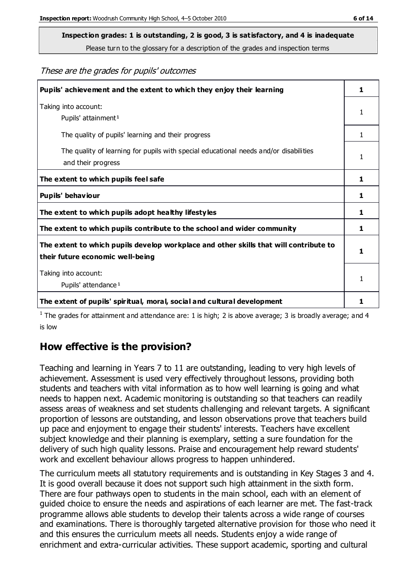**Inspection grades: 1 is outstanding, 2 is good, 3 is satisfactory, and 4 is inadequate**

Please turn to the glossary for a description of the grades and inspection terms

These are the grades for pupils' outcomes

| Pupils' achievement and the extent to which they enjoy their learning                                                     | 1 |
|---------------------------------------------------------------------------------------------------------------------------|---|
| Taking into account:<br>Pupils' attainment <sup>1</sup>                                                                   | 1 |
| The quality of pupils' learning and their progress                                                                        | 1 |
| The quality of learning for pupils with special educational needs and/or disabilities<br>and their progress               | 1 |
| The extent to which pupils feel safe                                                                                      | 1 |
| Pupils' behaviour                                                                                                         | 1 |
| The extent to which pupils adopt healthy lifestyles                                                                       | 1 |
| The extent to which pupils contribute to the school and wider community                                                   | 1 |
| The extent to which pupils develop workplace and other skills that will contribute to<br>their future economic well-being | 1 |
| Taking into account:<br>Pupils' attendance <sup>1</sup>                                                                   | 1 |
| The extent of pupils' spiritual, moral, social and cultural development                                                   |   |

<sup>1</sup> The grades for attainment and attendance are: 1 is high; 2 is above average; 3 is broadly average; and 4 is low

# **How effective is the provision?**

Teaching and learning in Years 7 to 11 are outstanding, leading to very high levels of achievement. Assessment is used very effectively throughout lessons, providing both students and teachers with vital information as to how well learning is going and what needs to happen next. Academic monitoring is outstanding so that teachers can readily assess areas of weakness and set students challenging and relevant targets. A significant proportion of lessons are outstanding, and lesson observations prove that teachers build up pace and enjoyment to engage their students' interests. Teachers have excellent subject knowledge and their planning is exemplary, setting a sure foundation for the delivery of such high quality lessons. Praise and encouragement help reward students' work and excellent behaviour allows progress to happen unhindered.

The curriculum meets all statutory requirements and is outstanding in Key Stages 3 and 4. It is good overall because it does not support such high attainment in the sixth form. There are four pathways open to students in the main school, each with an element of guided choice to ensure the needs and aspirations of each learner are met. The fast-track programme allows able students to develop their talents across a wide range of courses and examinations. There is thoroughly targeted alternative provision for those who need it and this ensures the curriculum meets all needs. Students enjoy a wide range of enrichment and extra-curricular activities. These support academic, sporting and cultural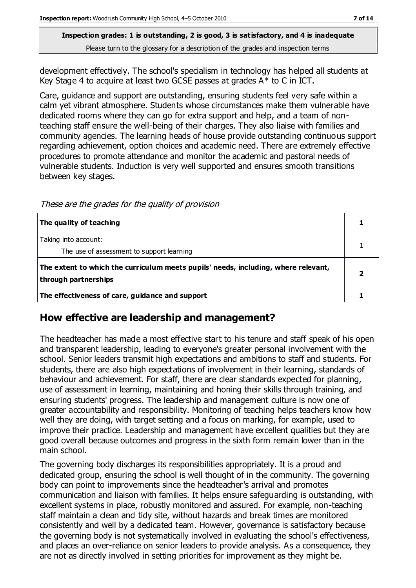development effectively. The school's specialism in technology has helped all students at Key Stage 4 to acquire at least two GCSE passes at grades A\* to C in ICT.

Care, guidance and support are outstanding, ensuring students feel very safe within a calm yet vibrant atmosphere. Students whose circumstances make them vulnerable have dedicated rooms where they can go for extra support and help, and a team of nonteaching staff ensure the well-being of their charges. They also liaise with families and community agencies. The learning heads of house provide outstanding continuous support regarding achievement, option choices and academic need. There are extremely effective procedures to promote attendance and monitor the academic and pastoral needs of vulnerable students. Induction is very well supported and ensures smooth transitions between key stages.

These are the grades for the quality of provision

| The quality of teaching                                                                                    |  |
|------------------------------------------------------------------------------------------------------------|--|
| Taking into account:<br>The use of assessment to support learning                                          |  |
| The extent to which the curriculum meets pupils' needs, including, where relevant,<br>through partnerships |  |
| The effectiveness of care, guidance and support                                                            |  |

## **How effective are leadership and management?**

The headteacher has made a most effective start to his tenure and staff speak of his open and transparent leadership, leading to everyone's greater personal involvement with the school. Senior leaders transmit high expectations and ambitions to staff and students. For students, there are also high expectations of involvement in their learning, standards of behaviour and achievement. For staff, there are clear standards expected for planning, use of assessment in learning, maintaining and honing their skills through training, and ensuring students' progress. The leadership and management culture is now one of greater accountability and responsibility. Monitoring of teaching helps teachers know how well they are doing, with target setting and a focus on marking, for example, used to improve their practice. Leadership and management have excellent qualities but they are good overall because outcomes and progress in the sixth form remain lower than in the main school.

The governing body discharges its responsibilities appropriately. It is a proud and dedicated group, ensuring the school is well thought of in the community. The governing body can point to improvements since the headteacher's arrival and promotes communication and liaison with families. It helps ensure safeguarding is outstanding, with excellent systems in place, robustly monitored and assured. For example, non-teaching staff maintain a clean and tidy site, without hazards and break times are monitored consistently and well by a dedicated team. However, governance is satisfactory because the governing body is not systematically involved in evaluating the school's effectiveness, and places an over-reliance on senior leaders to provide analysis. As a consequence, they are not as directly involved in setting priorities for improvement as they might be.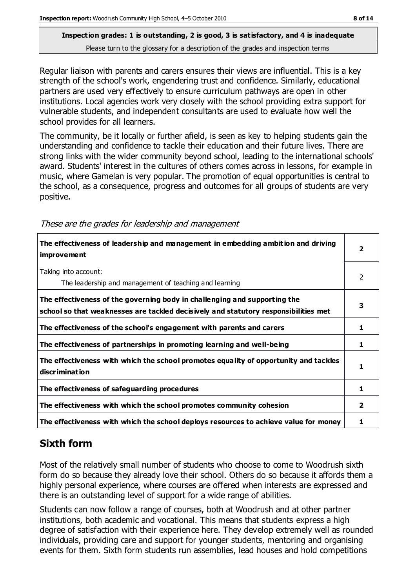Regular liaison with parents and carers ensures their views are influential. This is a key strength of the school's work, engendering trust and confidence. Similarly, educational partners are used very effectively to ensure curriculum pathways are open in other institutions. Local agencies work very closely with the school providing extra support for vulnerable students, and independent consultants are used to evaluate how well the school provides for all learners.

The community, be it locally or further afield, is seen as key to helping students gain the understanding and confidence to tackle their education and their future lives. There are strong links with the wider community beyond school, leading to the international schools' award. Students' interest in the cultures of others comes across in lessons, for example in music, where Gamelan is very popular. The promotion of equal opportunities is central to the school, as a consequence, progress and outcomes for all groups of students are very positive.

|  |  | These are the grades for leadership and management |
|--|--|----------------------------------------------------|
|  |  |                                                    |

| The effectiveness of leadership and management in embedding ambition and driving<br>improvement                                                                  |                |
|------------------------------------------------------------------------------------------------------------------------------------------------------------------|----------------|
| Taking into account:<br>The leadership and management of teaching and learning                                                                                   | $\overline{2}$ |
| The effectiveness of the governing body in challenging and supporting the<br>school so that weaknesses are tackled decisively and statutory responsibilities met | 3              |
| The effectiveness of the school's engagement with parents and carers                                                                                             | 1              |
| The effectiveness of partnerships in promoting learning and well-being                                                                                           | 1              |
| The effectiveness with which the school promotes equality of opportunity and tackles<br>discrimination                                                           | 1              |
| The effectiveness of safeguarding procedures                                                                                                                     | 1              |
| The effectiveness with which the school promotes community cohesion                                                                                              | 2              |
| The effectiveness with which the school deploys resources to achieve value for money                                                                             |                |

# **Sixth form**

Most of the relatively small number of students who choose to come to Woodrush sixth form do so because they already love their school. Others do so because it affords them a highly personal experience, where courses are offered when interests are expressed and there is an outstanding level of support for a wide range of abilities.

Students can now follow a range of courses, both at Woodrush and at other partner institutions, both academic and vocational. This means that students express a high degree of satisfaction with their experience here. They develop extremely well as rounded individuals, providing care and support for younger students, mentoring and organising events for them. Sixth form students run assemblies, lead houses and hold competitions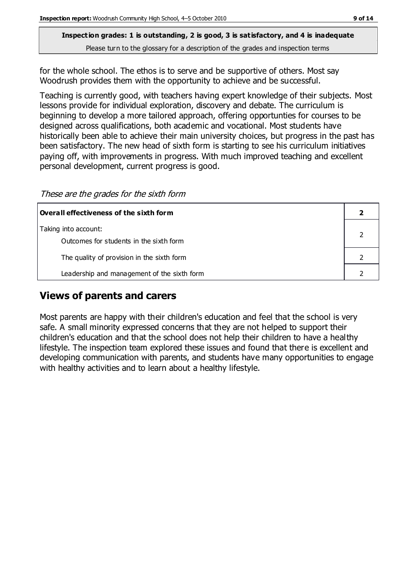for the whole school. The ethos is to serve and be supportive of others. Most say Woodrush provides them with the opportunity to achieve and be successful.

Teaching is currently good, with teachers having expert knowledge of their subjects. Most lessons provide for individual exploration, discovery and debate. The curriculum is beginning to develop a more tailored approach, offering opportunties for courses to be designed across qualifications, both academic and vocational. Most students have historically been able to achieve their main university choices, but progress in the past has been satisfactory. The new head of sixth form is starting to see his curriculum initiatives paying off, with improvements in progress. With much improved teaching and excellent personal development, current progress is good.

These are the grades for the sixth form

| Overall effectiveness of the sixth form     |  |
|---------------------------------------------|--|
| Taking into account:                        |  |
| Outcomes for students in the sixth form     |  |
| The quality of provision in the sixth form  |  |
| Leadership and management of the sixth form |  |

## **Views of parents and carers**

Most parents are happy with their children's education and feel that the school is very safe. A small minority expressed concerns that they are not helped to support their children's education and that the school does not help their children to have a healthy lifestyle. The inspection team explored these issues and found that there is excellent and developing communication with parents, and students have many opportunities to engage with healthy activities and to learn about a healthy lifestyle.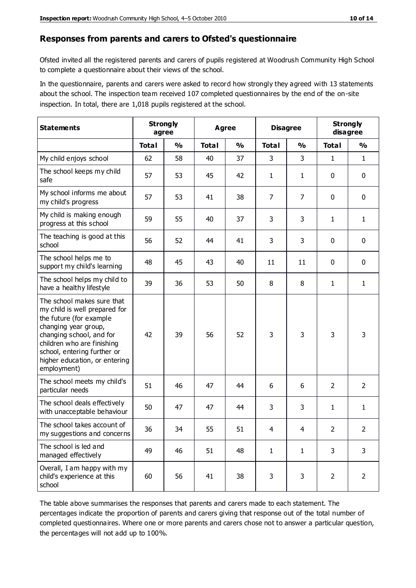#### **Responses from parents and carers to Ofsted's questionnaire**

Ofsted invited all the registered parents and carers of pupils registered at Woodrush Community High School to complete a questionnaire about their views of the school.

In the questionnaire, parents and carers were asked to record how strongly they agreed with 13 statements about the school. The inspection team received 107 completed questionnaires by the end of the on-site inspection. In total, there are 1,018 pupils registered at the school.

| <b>Statements</b>                                                                                                                                                                                                                                       | <b>Strongly</b><br>agree |               | <b>Agree</b> |               | <b>Disagree</b> |               | <b>Strongly</b><br>disagree |                |
|---------------------------------------------------------------------------------------------------------------------------------------------------------------------------------------------------------------------------------------------------------|--------------------------|---------------|--------------|---------------|-----------------|---------------|-----------------------------|----------------|
|                                                                                                                                                                                                                                                         | <b>Total</b>             | $\frac{0}{0}$ | <b>Total</b> | $\frac{0}{0}$ | <b>Total</b>    | $\frac{0}{0}$ | <b>Total</b>                | %              |
| My child enjoys school                                                                                                                                                                                                                                  | 62                       | 58            | 40           | 37            | 3               | 3             | $\mathbf{1}$                | $\mathbf{1}$   |
| The school keeps my child<br>safe                                                                                                                                                                                                                       | 57                       | 53            | 45           | 42            | $\mathbf{1}$    | 1             | $\mathbf 0$                 | $\mathbf 0$    |
| My school informs me about<br>my child's progress                                                                                                                                                                                                       | 57                       | 53            | 41           | 38            | 7               | 7             | $\mathbf 0$                 | $\mathbf 0$    |
| My child is making enough<br>progress at this school                                                                                                                                                                                                    | 59                       | 55            | 40           | 37            | 3               | 3             | 1                           | 1              |
| The teaching is good at this<br>school                                                                                                                                                                                                                  | 56                       | 52            | 44           | 41            | 3               | 3             | $\mathbf 0$                 | $\mathbf 0$    |
| The school helps me to<br>support my child's learning                                                                                                                                                                                                   | 48                       | 45            | 43           | 40            | 11              | 11            | $\mathbf 0$                 | $\mathbf 0$    |
| The school helps my child to<br>have a healthy lifestyle                                                                                                                                                                                                | 39                       | 36            | 53           | 50            | 8               | 8             | $\mathbf{1}$                | $\mathbf{1}$   |
| The school makes sure that<br>my child is well prepared for<br>the future (for example<br>changing year group,<br>changing school, and for<br>children who are finishing<br>school, entering further or<br>higher education, or entering<br>employment) | 42                       | 39            | 56           | 52            | 3               | 3             | 3                           | 3              |
| The school meets my child's<br>particular needs                                                                                                                                                                                                         | 51                       | 46            | 47           | 44            | 6               | 6             | $\overline{2}$              | $\overline{2}$ |
| The school deals effectively<br>with unacceptable behaviour                                                                                                                                                                                             | 50                       | 47            | 47           | 44            | 3               | 3             | 1                           | $\mathbf{1}$   |
| The school takes account of<br>my suggestions and concerns                                                                                                                                                                                              | 36                       | 34            | 55           | 51            | 4               | 4             | $\overline{2}$              | 2              |
| The school is led and<br>managed effectively                                                                                                                                                                                                            | 49                       | 46            | 51           | 48            | $\mathbf{1}$    | $\mathbf{1}$  | 3                           | 3              |
| Overall, I am happy with my<br>child's experience at this<br>school                                                                                                                                                                                     | 60                       | 56            | 41           | 38            | 3               | 3             | $\overline{2}$              | $\overline{2}$ |

The table above summarises the responses that parents and carers made to each statement. The percentages indicate the proportion of parents and carers giving that response out of the total number of completed questionnaires. Where one or more parents and carers chose not to answer a particular question, the percentages will not add up to 100%.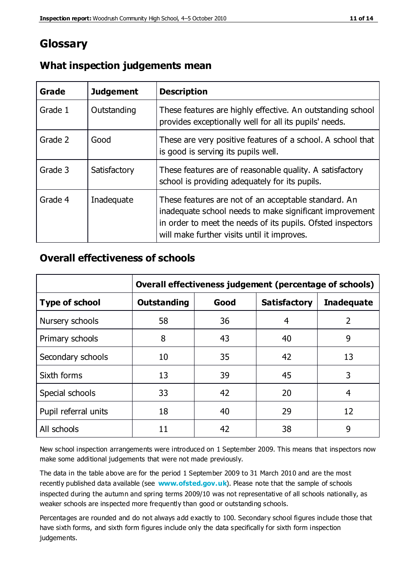# **Glossary**

| Grade   | <b>Judgement</b> | <b>Description</b>                                                                                                                                                                                                            |
|---------|------------------|-------------------------------------------------------------------------------------------------------------------------------------------------------------------------------------------------------------------------------|
| Grade 1 | Outstanding      | These features are highly effective. An outstanding school<br>provides exceptionally well for all its pupils' needs.                                                                                                          |
| Grade 2 | Good             | These are very positive features of a school. A school that<br>is good is serving its pupils well.                                                                                                                            |
| Grade 3 | Satisfactory     | These features are of reasonable quality. A satisfactory<br>school is providing adequately for its pupils.                                                                                                                    |
| Grade 4 | Inadequate       | These features are not of an acceptable standard. An<br>inadequate school needs to make significant improvement<br>in order to meet the needs of its pupils. Ofsted inspectors<br>will make further visits until it improves. |

## **What inspection judgements mean**

## **Overall effectiveness of schools**

|                       | Overall effectiveness judgement (percentage of schools) |      |                     |                   |
|-----------------------|---------------------------------------------------------|------|---------------------|-------------------|
| <b>Type of school</b> | <b>Outstanding</b>                                      | Good | <b>Satisfactory</b> | <b>Inadequate</b> |
| Nursery schools       | 58                                                      | 36   | 4                   | 2                 |
| Primary schools       | 8                                                       | 43   | 40                  | 9                 |
| Secondary schools     | 10                                                      | 35   | 42                  | 13                |
| Sixth forms           | 13                                                      | 39   | 45                  | 3                 |
| Special schools       | 33                                                      | 42   | 20                  | 4                 |
| Pupil referral units  | 18                                                      | 40   | 29                  | 12                |
| All schools           | 11                                                      | 42   | 38                  | 9                 |

New school inspection arrangements were introduced on 1 September 2009. This means that inspectors now make some additional judgements that were not made previously.

The data in the table above are for the period 1 September 2009 to 31 March 2010 and are the most recently published data available (see **[www.ofsted.gov.uk](http://www.ofsted.gov.uk/)**). Please note that the sample of schools inspected during the autumn and spring terms 2009/10 was not representative of all schools nationally, as weaker schools are inspected more frequently than good or outstanding schools.

Percentages are rounded and do not always add exactly to 100. Secondary school figures include those that have sixth forms, and sixth form figures include only the data specifically for sixth form inspection judgements.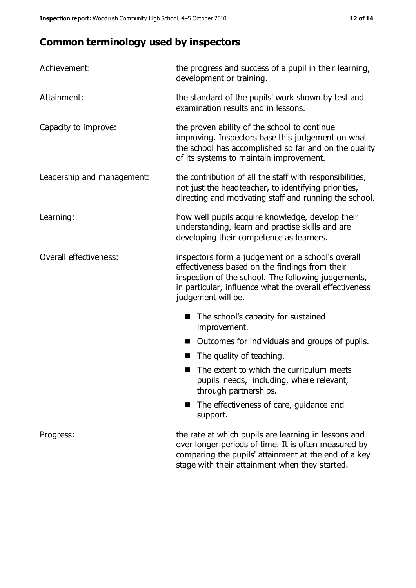# **Common terminology used by inspectors**

| Achievement:               | the progress and success of a pupil in their learning,<br>development or training.                                                                                                                                                          |
|----------------------------|---------------------------------------------------------------------------------------------------------------------------------------------------------------------------------------------------------------------------------------------|
| Attainment:                | the standard of the pupils' work shown by test and<br>examination results and in lessons.                                                                                                                                                   |
| Capacity to improve:       | the proven ability of the school to continue<br>improving. Inspectors base this judgement on what<br>the school has accomplished so far and on the quality<br>of its systems to maintain improvement.                                       |
| Leadership and management: | the contribution of all the staff with responsibilities,<br>not just the headteacher, to identifying priorities,<br>directing and motivating staff and running the school.                                                                  |
| Learning:                  | how well pupils acquire knowledge, develop their<br>understanding, learn and practise skills and are<br>developing their competence as learners.                                                                                            |
| Overall effectiveness:     | inspectors form a judgement on a school's overall<br>effectiveness based on the findings from their<br>inspection of the school. The following judgements,<br>in particular, influence what the overall effectiveness<br>judgement will be. |
|                            | The school's capacity for sustained<br>improvement.                                                                                                                                                                                         |
|                            | Outcomes for individuals and groups of pupils.                                                                                                                                                                                              |
|                            | The quality of teaching.                                                                                                                                                                                                                    |
|                            | The extent to which the curriculum meets<br>pupils' needs, including, where relevant,<br>through partnerships.                                                                                                                              |
|                            | The effectiveness of care, guidance and<br>support.                                                                                                                                                                                         |
| Progress:                  | the rate at which pupils are learning in lessons and<br>over longer periods of time. It is often measured by<br>comparing the pupils' attainment at the end of a key                                                                        |

stage with their attainment when they started.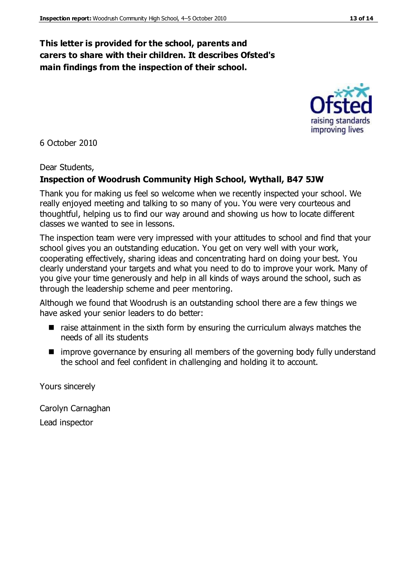## **This letter is provided for the school, parents and carers to share with their children. It describes Ofsted's main findings from the inspection of their school.**

6 October 2010

Dear Students,

#### **Inspection of Woodrush Community High School, Wythall, B47 5JW**

Thank you for making us feel so welcome when we recently inspected your school. We really enjoyed meeting and talking to so many of you. You were very courteous and thoughtful, helping us to find our way around and showing us how to locate different classes we wanted to see in lessons.

The inspection team were very impressed with your attitudes to school and find that your school gives you an outstanding education. You get on very well with your work, cooperating effectively, sharing ideas and concentrating hard on doing your best. You clearly understand your targets and what you need to do to improve your work. Many of you give your time generously and help in all kinds of ways around the school, such as through the leadership scheme and peer mentoring.

Although we found that Woodrush is an outstanding school there are a few things we have asked your senior leaders to do better:

- $\blacksquare$  raise attainment in the sixth form by ensuring the curriculum always matches the needs of all its students
- improve governance by ensuring all members of the governing body fully understand the school and feel confident in challenging and holding it to account.

Yours sincerely

Carolyn Carnaghan Lead inspector